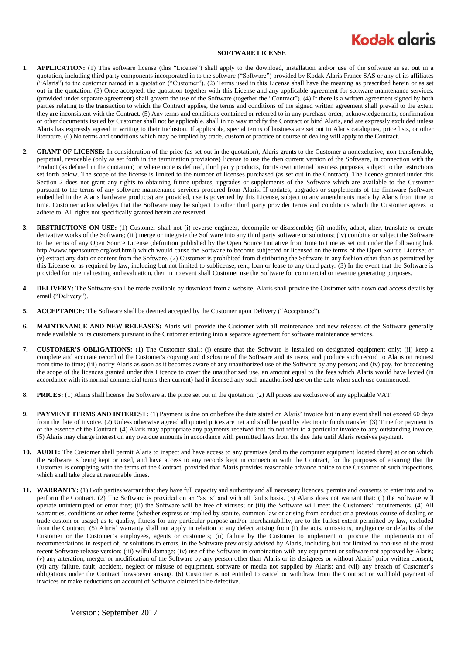## **Kodak glgris**

## **SOFTWARE LICENSE**

- **1. APPLICATION:** (1) This software license (this "License") shall apply to the download, installation and/or use of the software as set out in a quotation, including third party components incorporated in to the software ("Software") provided by Kodak Alaris France SAS or any of its affiliates ("Alaris") to the customer named in a quotation ("Customer"). (2) Terms used in this License shall have the meaning as prescribed herein or as set out in the quotation. (3) Once accepted, the quotation together with this License and any applicable agreement for software maintenance services, (provided under separate agreement) shall govern the use of the Software (together the "Contract"). (4) If there is a written agreement signed by both parties relating to the transaction to which the Contract applies, the terms and conditions of the signed written agreement shall prevail to the extent they are inconsistent with the Contract. (5) Any terms and conditions contained or referred to in any purchase order, acknowledgements, confirmation or other documents issued by Customer shall not be applicable, shall in no way modify the Contract or bind Alaris, and are expressly excluded unless Alaris has expressly agreed in writing to their inclusion. If applicable, special terms of business are set out in Alaris catalogues, price lists, or other literature. (6) No terms and conditions which may be implied by trade, custom or practice or course of dealing will apply to the Contract.
- **2. GRANT OF LICENSE:** In consideration of the price (as set out in the quotation), Alaris grants to the Customer a nonexclusive, non-transferrable, perpetual, revocable (only as set forth in the termination provisions) license to use the then current version of the Software, in connection with the Product (as defined in the quotation) or where none is defined, third party products, for its own internal business purposes, subject to the restrictions set forth below. The scope of the license is limited to the number of licenses purchased (as set out in the Contract). The licence granted under this Section 2 does not grant any rights to obtaining future updates, upgrades or supplements of the Software which are available to the Customer pursuant to the terms of any software maintenance services procured from Alaris. If updates, upgrades or supplements of the firmware (software embedded in the Alaris hardware products) are provided, use is governed by this License, subject to any amendments made by Alaris from time to time. Customer acknowledges that the Software may be subject to other third party provider terms and conditions which the Customer agrees to adhere to. All rights not specifically granted herein are reserved.
- **3. RESTRICTIONS ON USE:** (1) Customer shall not (i) reverse engineer, decompile or disassemble; (ii) modify, adapt, alter, translate or create derivative works of the Software; (iii) merge or integrate the Software into any third party software or solutions; (iv) combine or subject the Software to the terms of any Open Source License (definition published by the Open Source Initiative from time to time as set out under the following link http://www.opensource.org/osd.html) which would cause the Software to become subjected or licensed on the terms of the Open Source License; or (v) extract any data or content from the Software. (2) Customer is prohibited from distributing the Software in any fashion other than as permitted by this License or as required by law, including but not limited to sublicense, rent, loan or lease to any third party. (3) In the event that the Software is provided for internal testing and evaluation, then in no event shall Customer use the Software for commercial or revenue generating purposes.
- **4. DELIVERY:** The Software shall be made available by download from a website, Alaris shall provide the Customer with download access details by email ("Delivery").
- **5. ACCEPTANCE:** The Software shall be deemed accepted by the Customer upon Delivery ("Acceptance").
- **6. MAINTENANCE AND NEW RELEASES:** Alaris will provide the Customer with all maintenance and new releases of the Software generally made available to its customers pursuant to the Customer entering into a separate agreement for software maintenance services.
- **7. CUSTOMER'S OBLIGATIONS:** (1) The Customer shall: (i) ensure that the Software is installed on designated equipment only; (ii) keep a complete and accurate record of the Customer's copying and disclosure of the Software and its users, and produce such record to Alaris on request from time to time; (iii) notify Alaris as soon as it becomes aware of any unauthorized use of the Software by any person; and (iv) pay, for broadening the scope of the licences granted under this Licence to cover the unauthorized use, an amount equal to the fees which Alaris would have levied (in accordance with its normal commercial terms then current) had it licensed any such unauthorised use on the date when such use commenced.
- **8. PRICES:** (1) Alaris shall license the Software at the price set out in the quotation. (2) All prices are exclusive of any applicable VAT.
- **9. PAYMENT TERMS AND INTEREST:** (1) Payment is due on or before the date stated on Alaris' invoice but in any event shall not exceed 60 days from the date of invoice. (2) Unless otherwise agreed all quoted prices are net and shall be paid by electronic funds transfer. (3) Time for payment is of the essence of the Contract. (4) Alaris may appropriate any payments received that do not refer to a particular invoice to any outstanding invoice. (5) Alaris may charge interest on any overdue amounts in accordance with permitted laws from the due date until Alaris receives payment.
- **10. AUDIT:** The Customer shall permit Alaris to inspect and have access to any premises (and to the computer equipment located there) at or on which the Software is being kept or used, and have access to any records kept in connection with the Contract, for the purposes of ensuring that the Customer is complying with the terms of the Contract, provided that Alaris provides reasonable advance notice to the Customer of such inspections, which shall take place at reasonable times.
- **11. WARRANTY:** (1) Both parties warrant that they have full capacity and authority and all necessary licences, permits and consents to enter into and to perform the Contract. (2) The Software is provided on an "as is" and with all faults basis. (3) Alaris does not warrant that: (i) the Software will operate uninterrupted or error free; (ii) the Software will be free of viruses; or (iii) the Software will meet the Customers' requirements. (4) All warranties, conditions or other terms (whether express or implied by statute, common law or arising from conduct or a previous course of dealing or trade custom or usage) as to quality, fitness for any particular purpose and/or merchantability, are to the fullest extent permitted by law, excluded from the Contract. (5) Alaris' warranty shall not apply in relation to any defect arising from (i) the acts, omissions, negligence or defaults of the Customer or the Customer's employees, agents or customers; (ii) failure by the Customer to implement or procure the implementation of recommendations in respect of, or solutions to errors, in the Software previously advised by Alaris, including but not limited to non-use of the most recent Software release version; (iii) wilful damage; (iv) use of the Software in combination with any equipment or software not approved by Alaris; (v) any alteration, merger or modification of the Software by any person other than Alaris or its designees or without Alaris' prior written consent; (vi) any failure, fault, accident, neglect or misuse of equipment, software or media not supplied by Alaris; and (vii) any breach of Customer's obligations under the Contract howsoever arising. (6) Customer is not entitled to cancel or withdraw from the Contract or withhold payment of invoices or make deductions on account of Software claimed to be defective.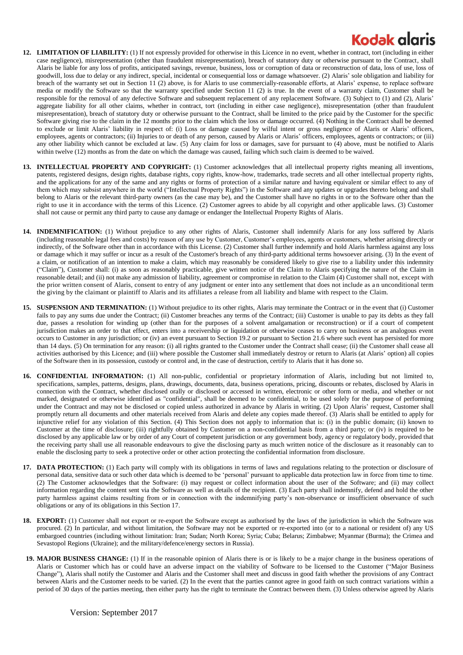## **Kodak glgris**

- **12. LIMITATION OF LIABILITY:** (1) If not expressly provided for otherwise in this Licence in no event, whether in contract, tort (including in either case negligence), misrepresentation (other than fraudulent misrepresentation), breach of statutory duty or otherwise pursuant to the Contract, shall Alaris be liable for any loss of profits, anticipated savings, revenue, business, loss or corruption of data or reconstruction of data, loss of use, loss of goodwill, loss due to delay or any indirect, special, incidental or consequential loss or damage whatsoever. (2) Alaris' sole obligation and liability for breach of the warranty set out in Section 11 (2) above, is for Alaris to use commercially-reasonable efforts, at Alaris' expense, to replace software media or modify the Software so that the warranty specified under Section 11 (2) is true. In the event of a warranty claim, Customer shall be responsible for the removal of any defective Software and subsequent replacement of any replacement Software. (3) Subject to (1) and (2), Alaris' aggregate liability for all other claims, whether in contract, tort (including in either case negligence), misrepresentation (other than fraudulent misrepresentation), breach of statutory duty or otherwise pursuant to the Contract, shall be limited to the price paid by the Customer for the specific Software giving rise to the claim in the 12 months prior to the claim which the loss or damage occurred. (4) Nothing in the Contract shall be deemed to exclude or limit Alaris' liability in respect of: (i) Loss or damage caused by wilful intent or gross negligence of Alaris or Alaris' officers, employees, agents or contractors; (ii) Injuries to or death of any person, caused by Alaris or Alaris' officers, employees, agents or contractors; or (iii) any other liability which cannot be excluded at law. (5) Any claim for loss or damages, save for pursuant to (4) above, must be notified to Alaris within twelve (12) months as from the date on which the damage was caused, failing which such claim is deemed to be waived.
- **13. INTELLECTUAL PROPERTY AND COPYRIGHT:** (1) Customer acknowledges that all intellectual property rights meaning all inventions, patents, registered designs, design rights, database rights, copy rights, know-how, trademarks, trade secrets and all other intellectual property rights, and the applications for any of the same and any rights or forms of protection of a similar nature and having equivalent or similar effect to any of them which may subsist anywhere in the world ("Intellectual Property Rights") in the Software and any updates or upgrades thereto belong and shall belong to Alaris or the relevant third-party owners (as the case may be), and the Customer shall have no rights in or to the Software other than the right to use it in accordance with the terms of this Licence. (2) Customer agrees to abide by all copyright and other applicable laws. (3) Customer shall not cause or permit any third party to cause any damage or endanger the Intellectual Property Rights of Alaris.
- **14. INDEMNIFICATION:** (1) Without prejudice to any other rights of Alaris, Customer shall indemnify Alaris for any loss suffered by Alaris (including reasonable legal fees and costs) by reason of any use by Customer, Customer's employees, agents or customers, whether arising directly or indirectly, of the Software other than in accordance with this License. (2) Customer shall further indemnify and hold Alaris harmless against any loss or damage which it may suffer or incur as a result of the Customer's breach of any third-party additional terms howsoever arising. (3) In the event of a claim, or notification of an intention to make a claim, which may reasonably be considered likely to give rise to a liability under this indemnity ("Claim"), Customer shall: (i) as soon as reasonably practicable, give written notice of the Claim to Alaris specifying the nature of the Claim in reasonable detail; and (ii) not make any admission of liability, agreement or compromise in relation to the Claim (4) Customer shall not, except with the prior written consent of Alaris, consent to entry of any judgment or enter into any settlement that does not include as a n unconditional term the giving by the claimant or plaintiff to Alaris and its affiliates a release from all liability and blame with respect to the Claim.
- **15. SUSPENSION AND TERMINATION:** (1) Without prejudice to its other rights, Alaris may terminate the Contract or in the event that (i) Customer fails to pay any sums due under the Contract; (ii) Customer breaches any terms of the Contract; (iii) Customer is unable to pay its debts as they fall due, passes a resolution for winding up (other than for the purposes of a solvent amalgamation or reconstruction) or if a court of competent jurisdiction makes an order to that effect, enters into a receivership or liquidation or otherwise ceases to carry on business or an analogous event occurs to Customer in any jurisdiction; or (iv) an event pursuant to Section 19.2 or pursuant to Section 21.6 where such event has persisted for more than 14 days. (5) On termination for any reason: (i) all rights granted to the Customer under the Contract shall cease; (ii) the Customer shall cease all activities authorised by this Licence; and (iii) where possible the Customer shall immediately destroy or return to Alaris (at Alaris' option) all copies of the Software then in its possession, custody or control and, in the case of destruction, certify to Alaris that it has done so.
- **16. CONFIDENTIAL INFORMATION:** (1) All non-public, confidential or proprietary information of Alaris, including but not limited to, specifications, samples, patterns, designs, plans, drawings, documents, data, business operations, pricing, discounts or rebates, disclosed by Alaris in connection with the Contract, whether disclosed orally or disclosed or accessed in written, electronic or other form or media, and whether or not marked, designated or otherwise identified as "confidential", shall be deemed to be confidential, to be used solely for the purpose of performing under the Contract and may not be disclosed or copied unless authorized in advance by Alaris in writing. (2) Upon Alaris' request, Customer shall promptly return all documents and other materials received from Alaris and delete any copies made thereof. (3) Alaris shall be entitled to apply for injunctive relief for any violation of this Section. (4) This Section does not apply to information that is: (i) in the public domain; (ii) known to Customer at the time of disclosure; (iii) rightfully obtained by Customer on a non-confidential basis from a third party; or (iv) is required to be disclosed by any applicable law or by order of any Court of competent jurisdiction or any government body, agency or regulatory body, provided that the receiving party shall use all reasonable endeavours to give the disclosing party as much written notice of the disclosure as it reasonably can to enable the disclosing party to seek a protective order or other action protecting the confidential information from disclosure.
- **17. DATA PROTECTION:** (1) Each party will comply with its obligations in terms of laws and regulations relating to the protection or disclosure of personal data, sensitive data or such other data which is deemed to be 'personal' pursuant to applicable data protection law in force from time to time. (2) The Customer acknowledges that the Software: (i) may request or collect information about the user of the Software; and (ii) may collect information regarding the content sent via the Software as well as details of the recipient. (3) Each party shall indemnify, defend and hold the other party harmless against claims resulting from or in connection with the indemnifying party's non-observance or insufficient observance of such obligations or any of its obligations in this Section 17.
- **18. EXPORT:** (1) Customer shall not export or re-export the Software except as authorised by the laws of the jurisdiction in which the Software was procured. (2) In particular, and without limitation, the Software may not be exported or re-exported into (or to a national or resident of) any US embargoed countries (including without limitation: Iran; Sudan; North Korea; Syria; Cuba; Belarus; Zimbabwe; Myanmar (Burma); the Crimea and Sevastopol Regions (Ukraine); and the military/defence/energy sectors in Russia).
- **19. MAJOR BUSINESS CHANGE:** (1) If in the reasonable opinion of Alaris there is or is likely to be a major change in the business operations of Alaris or Customer which has or could have an adverse impact on the viability of Software to be licensed to the Customer ("Major Business Change"), Alaris shall notify the Customer and Alaris and the Customer shall meet and discuss in good faith whether the provisions of any Contract between Alaris and the Customer needs to be varied. (2) In the event that the parties cannot agree in good faith on such contract variations within a period of 30 days of the parties meeting, then either party has the right to terminate the Contract between them. (3) Unless otherwise agreed by Alaris